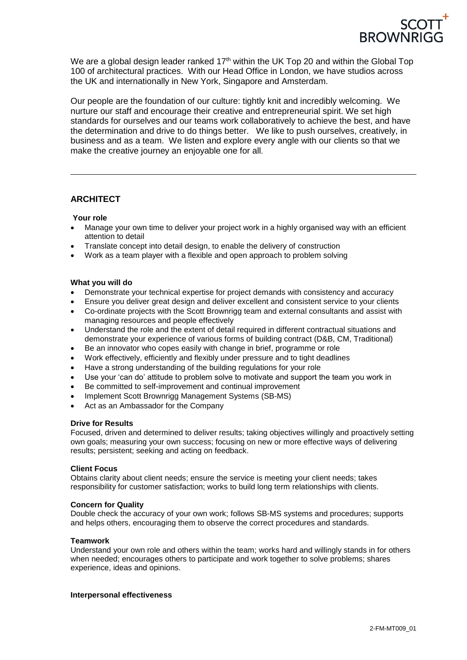

We are a global design leader ranked 17<sup>th</sup> within the UK Top 20 and within the Global Top 100 of architectural practices. With our Head Office in London, we have studios across the UK and internationally in New York, Singapore and Amsterdam.

Our people are the foundation of our culture: tightly knit and incredibly welcoming. We nurture our staff and encourage their creative and entrepreneurial spirit. We set high standards for ourselves and our teams work collaboratively to achieve the best, and have the determination and drive to do things better. We like to push ourselves, creatively, in business and as a team. We listen and explore every angle with our clients so that we make the creative journey an enjoyable one for all.

# **ARCHITECT**

## **Your role**

- Manage your own time to deliver your project work in a highly organised way with an efficient attention to detail
- Translate concept into detail design, to enable the delivery of construction
- Work as a team player with a flexible and open approach to problem solving

## **What you will do**

- Demonstrate your technical expertise for project demands with consistency and accuracy
- Ensure you deliver great design and deliver excellent and consistent service to your clients
- Co-ordinate projects with the Scott Brownrigg team and external consultants and assist with managing resources and people effectively
- Understand the role and the extent of detail required in different contractual situations and demonstrate your experience of various forms of building contract (D&B, CM, Traditional)
- Be an innovator who copes easily with change in brief, programme or role
- Work effectively, efficiently and flexibly under pressure and to tight deadlines
- Have a strong understanding of the building regulations for your role
- Use your 'can do' attitude to problem solve to motivate and support the team you work in
- Be committed to self-improvement and continual improvement
- Implement Scott Brownrigg Management Systems (SB-MS)
- Act as an Ambassador for the Company

# **Drive for Results**

Focused, driven and determined to deliver results; taking objectives willingly and proactively setting own goals; measuring your own success; focusing on new or more effective ways of delivering results; persistent; seeking and acting on feedback.

### **Client Focus**

Obtains clarity about client needs; ensure the service is meeting your client needs; takes responsibility for customer satisfaction; works to build long term relationships with clients.

### **Concern for Quality**

Double check the accuracy of your own work; follows SB-MS systems and procedures; supports and helps others, encouraging them to observe the correct procedures and standards.

### **Teamwork**

Understand your own role and others within the team; works hard and willingly stands in for others when needed; encourages others to participate and work together to solve problems; shares experience, ideas and opinions.

### **Interpersonal effectiveness**